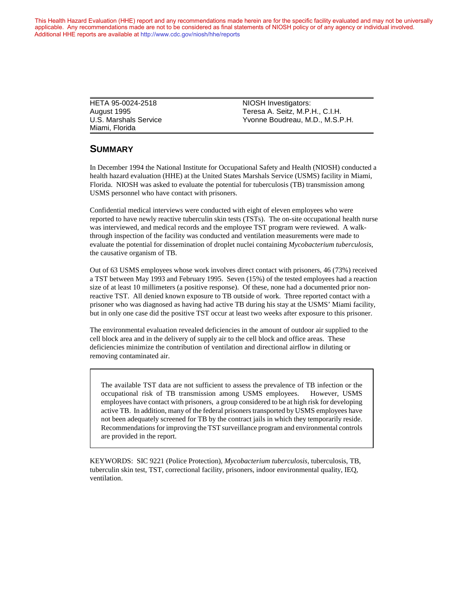This Health Hazard Evaluation (HHE) report and any recommendations made herein are for the specific facility evaluated and may not be universally applicable. Any recommendations made are not to be considered as final statements of NIOSH policy or of any agency or individual involved. Additional HHE reports are available at <http://www.cdc.gov/niosh/hhe/reports> Additional HHE reports are available at <http://www.cdc.gov/niosh/hhe/reports>

> HETA 95-0024-2518 NIOSH Investigators: Miami, Florida

August 1995 Teresa A. Seitz, M.P.H., C.I.H. U.S. Marshals Service Yvonne Boudreau, M.D., M.S.P.H.

#### **SUMMARY**

In December 1994 the National Institute for Occupational Safety and Health (NIOSH) conducted a health hazard evaluation (HHE) at the United States Marshals Service (USMS) facility in Miami, Florida. NIOSH was asked to evaluate the potential for tuberculosis (TB) transmission among USMS personnel who have contact with prisoners.

Confidential medical interviews were conducted with eight of eleven employees who were reported to have newly reactive tuberculin skin tests (TSTs). The on-site occupational health nurse was interviewed, and medical records and the employee TST program were reviewed. A walkthrough inspection of the facility was conducted and ventilation measurements were made to evaluate the potential for dissemination of droplet nuclei containing *Mycobacterium tuberculosis*, the causative organism of TB.

Out of 63 USMS employees whose work involves direct contact with prisoners, 46 (73%) received a TST between May 1993 and February 1995. Seven (15%) of the tested employees had a reaction size of at least 10 millimeters (a positive response). Of these, none had a documented prior nonreactive TST. All denied known exposure to TB outside of work. Three reported contact with a prisoner who was diagnosed as having had active TB during his stay at the USMS' Miami facility, but in only one case did the positive TST occur at least two weeks after exposure to this prisoner.

The environmental evaluation revealed deficiencies in the amount of outdoor air supplied to the cell block area and in the delivery of supply air to the cell block and office areas. These deficiencies minimize the contribution of ventilation and directional airflow in diluting or removing contaminated air.

The available TST data are not sufficient to assess the prevalence of TB infection or the occupational risk of TB transmission among USMS employees. However, USMS employees have contact with prisoners, a group considered to be at high risk for developing active TB. In addition, many of the federal prisoners transported by USMS employees have not been adequately screened for TB by the contract jails in which they temporarily reside. Recommendations for improving the TST surveillance program and environmental controls are provided in the report.

KEYWORDS: SIC 9221 (Police Protection), *Mycobacterium tuberculosis*, tuberculosis, TB, tuberculin skin test, TST, correctional facility, prisoners, indoor environmental quality, IEQ, ventilation.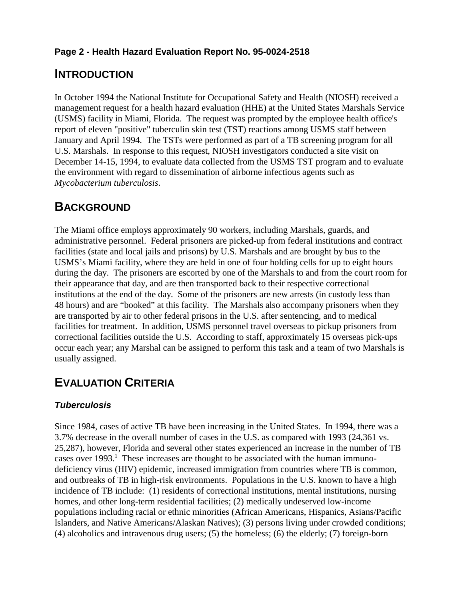## **Page 2 - Health Hazard Evaluation Report No. 95-0024-2518**

## **INTRODUCTION**

In October 1994 the National Institute for Occupational Safety and Health (NIOSH) received a management request for a health hazard evaluation (HHE) at the United States Marshals Service (USMS) facility in Miami, Florida. The request was prompted by the employee health office's report of eleven "positive" tuberculin skin test (TST) reactions among USMS staff between January and April 1994. The TSTs were performed as part of a TB screening program for all U.S. Marshals. In response to this request, NIOSH investigators conducted a site visit on December 14-15, 1994, to evaluate data collected from the USMS TST program and to evaluate the environment with regard to dissemination of airborne infectious agents such as *Mycobacterium tuberculosis*.

## **BACKGROUND**

The Miami office employs approximately 90 workers, including Marshals, guards, and administrative personnel. Federal prisoners are picked-up from federal institutions and contract facilities (state and local jails and prisons) by U.S. Marshals and are brought by bus to the USMS's Miami facility, where they are held in one of four holding cells for up to eight hours during the day. The prisoners are escorted by one of the Marshals to and from the court room for their appearance that day, and are then transported back to their respective correctional institutions at the end of the day. Some of the prisoners are new arrests (in custody less than 48 hours) and are "booked" at this facility. The Marshals also accompany prisoners when they are transported by air to other federal prisons in the U.S. after sentencing, and to medical facilities for treatment. In addition, USMS personnel travel overseas to pickup prisoners from correctional facilities outside the U.S. According to staff, approximately 15 overseas pick-ups occur each year; any Marshal can be assigned to perform this task and a team of two Marshals is usually assigned.

# **EVALUATION CRITERIA**

## *Tuberculosis*

Since 1984, cases of active TB have been increasing in the United States. In 1994, there was a 3.7% decrease in the overall number of cases in the U.S. as compared with 1993 (24,361 vs. 25,287), however, Florida and several other states experienced an increase in the number of TB cases over  $1993$ <sup>1</sup>. These increases are thought to be associated with the human immunodeficiency virus (HIV) epidemic, increased immigration from countries where TB is common, and outbreaks of TB in high-risk environments. Populations in the U.S. known to have a high incidence of TB include: (1) residents of correctional institutions, mental institutions, nursing homes, and other long-term residential facilities; (2) medically undeserved low-income populations including racial or ethnic minorities (African Americans, Hispanics, Asians/Pacific Islanders, and Native Americans/Alaskan Natives); (3) persons living under crowded conditions; (4) alcoholics and intravenous drug users; (5) the homeless; (6) the elderly; (7) foreign-born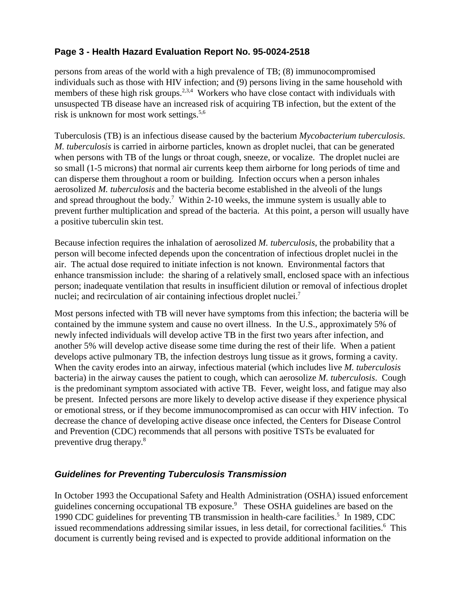## **Page 3 - Health Hazard Evaluation Report No. 95-0024-2518**

persons from areas of the world with a high prevalence of TB; (8) immunocompromised individuals such as those with HIV infection; and (9) persons living in the same household with members of these high risk groups.<sup>2,3,4</sup> Workers who have close contact with individuals with unsuspected TB disease have an increased risk of acquiring TB infection, but the extent of the risk is unknown for most work settings. $5,6$ 

Tuberculosis (TB) is an infectious disease caused by the bacterium *Mycobacterium tuberculosis*. *M. tuberculosis* is carried in airborne particles, known as droplet nuclei, that can be generated when persons with TB of the lungs or throat cough, sneeze, or vocalize. The droplet nuclei are so small (1-5 microns) that normal air currents keep them airborne for long periods of time and can disperse them throughout a room or building. Infection occurs when a person inhales aerosolized *M. tuberculosis* and the bacteria become established in the alveoli of the lungs and spread throughout the body.<sup>7</sup> Within 2-10 weeks, the immune system is usually able to prevent further multiplication and spread of the bacteria. At this point, a person will usually have a positive tuberculin skin test.

Because infection requires the inhalation of aerosolized *M. tuberculosis*, the probability that a person will become infected depends upon the concentration of infectious droplet nuclei in the air. The actual dose required to initiate infection is not known. Environmental factors that enhance transmission include: the sharing of a relatively small, enclosed space with an infectious person; inadequate ventilation that results in insufficient dilution or removal of infectious droplet nuclei; and recirculation of air containing infectious droplet nuclei.<sup>7</sup>

Most persons infected with TB will never have symptoms from this infection; the bacteria will be contained by the immune system and cause no overt illness. In the U.S., approximately 5% of newly infected individuals will develop active TB in the first two years after infection, and another 5% will develop active disease some time during the rest of their life. When a patient develops active pulmonary TB, the infection destroys lung tissue as it grows, forming a cavity. When the cavity erodes into an airway, infectious material (which includes live *M. tuberculosis* bacteria) in the airway causes the patient to cough, which can aerosolize *M. tuberculosis*. Cough is the predominant symptom associated with active TB. Fever, weight loss, and fatigue may also be present. Infected persons are more likely to develop active disease if they experience physical or emotional stress, or if they become immunocompromised as can occur with HIV infection. To decrease the chance of developing active disease once infected, the Centers for Disease Control and Prevention (CDC) recommends that all persons with positive TSTs be evaluated for preventive drug therapy.8

### *Guidelines for Preventing Tuberculosis Transmission*

In October 1993 the Occupational Safety and Health Administration (OSHA) issued enforcement guidelines concerning occupational TB exposure.<sup>9</sup> These OSHA guidelines are based on the 1990 CDC guidelines for preventing TB transmission in health-care facilities.<sup>5</sup> In 1989, CDC issued recommendations addressing similar issues, in less detail, for correctional facilities.<sup>6</sup> This document is currently being revised and is expected to provide additional information on the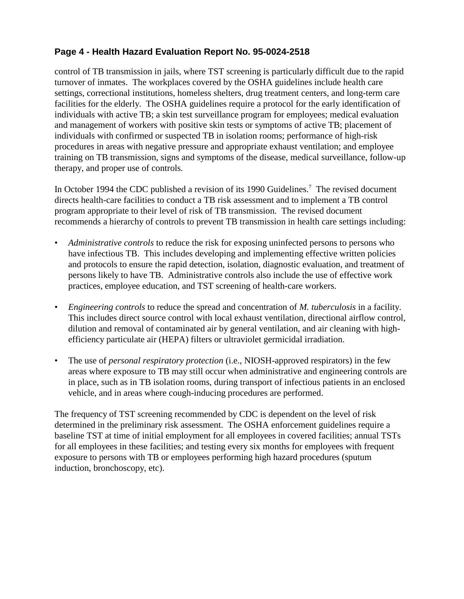## **Page 4 - Health Hazard Evaluation Report No. 95-0024-2518**

control of TB transmission in jails, where TST screening is particularly difficult due to the rapid turnover of inmates. The workplaces covered by the OSHA guidelines include health care settings, correctional institutions, homeless shelters, drug treatment centers, and long-term care facilities for the elderly. The OSHA guidelines require a protocol for the early identification of individuals with active TB; a skin test surveillance program for employees; medical evaluation and management of workers with positive skin tests or symptoms of active TB; placement of individuals with confirmed or suspected TB in isolation rooms; performance of high-risk procedures in areas with negative pressure and appropriate exhaust ventilation; and employee training on TB transmission, signs and symptoms of the disease, medical surveillance, follow-up therapy, and proper use of controls.

In October 1994 the CDC published a revision of its 1990 Guidelines.<sup>7</sup> The revised document directs health-care facilities to conduct a TB risk assessment and to implement a TB control program appropriate to their level of risk of TB transmission. The revised document recommends a hierarchy of controls to prevent TB transmission in health care settings including:

- Administrative controls to reduce the risk for exposing uninfected persons to persons who have infectious TB. This includes developing and implementing effective written policies and protocols to ensure the rapid detection, isolation, diagnostic evaluation, and treatment of persons likely to have TB. Administrative controls also include the use of effective work practices, employee education, and TST screening of health-care workers.
- *Engineering controls* to reduce the spread and concentration of *M. tuberculosis* in a facility. This includes direct source control with local exhaust ventilation, directional airflow control, dilution and removal of contaminated air by general ventilation, and air cleaning with highefficiency particulate air (HEPA) filters or ultraviolet germicidal irradiation.
- The use of *personal respiratory protection* (i.e., NIOSH-approved respirators) in the few areas where exposure to TB may still occur when administrative and engineering controls are in place, such as in TB isolation rooms, during transport of infectious patients in an enclosed vehicle, and in areas where cough-inducing procedures are performed.

The frequency of TST screening recommended by CDC is dependent on the level of risk determined in the preliminary risk assessment. The OSHA enforcement guidelines require a baseline TST at time of initial employment for all employees in covered facilities; annual TSTs for all employees in these facilities; and testing every six months for employees with frequent exposure to persons with TB or employees performing high hazard procedures (sputum induction, bronchoscopy, etc).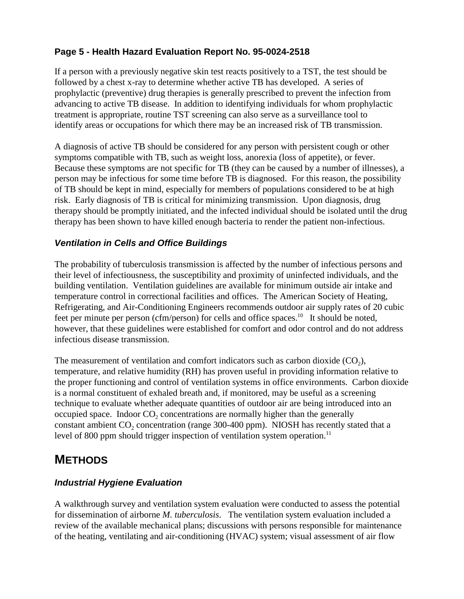## **Page 5 - Health Hazard Evaluation Report No. 95-0024-2518**

If a person with a previously negative skin test reacts positively to a TST, the test should be followed by a chest x-ray to determine whether active TB has developed. A series of prophylactic (preventive) drug therapies is generally prescribed to prevent the infection from advancing to active TB disease. In addition to identifying individuals for whom prophylactic treatment is appropriate, routine TST screening can also serve as a surveillance tool to identify areas or occupations for which there may be an increased risk of TB transmission.

A diagnosis of active TB should be considered for any person with persistent cough or other symptoms compatible with TB, such as weight loss, anorexia (loss of appetite), or fever. Because these symptoms are not specific for TB (they can be caused by a number of illnesses), a person may be infectious for some time before TB is diagnosed. For this reason, the possibility of TB should be kept in mind, especially for members of populations considered to be at high risk. Early diagnosis of TB is critical for minimizing transmission. Upon diagnosis, drug therapy should be promptly initiated, and the infected individual should be isolated until the drug therapy has been shown to have killed enough bacteria to render the patient non-infectious.

### *Ventilation in Cells and Office Buildings*

The probability of tuberculosis transmission is affected by the number of infectious persons and their level of infectiousness, the susceptibility and proximity of uninfected individuals, and the building ventilation. Ventilation guidelines are available for minimum outside air intake and temperature control in correctional facilities and offices. The American Society of Heating, Refrigerating, and Air-Conditioning Engineers recommends outdoor air supply rates of 20 cubic feet per minute per person (cfm/person) for cells and office spaces.<sup>10</sup> It should be noted, however, that these guidelines were established for comfort and odor control and do not address infectious disease transmission.

The measurement of ventilation and comfort indicators such as carbon dioxide  $(CO<sub>2</sub>)$ , temperature, and relative humidity (RH) has proven useful in providing information relative to the proper functioning and control of ventilation systems in office environments. Carbon dioxide is a normal constituent of exhaled breath and, if monitored, may be useful as a screening technique to evaluate whether adequate quantities of outdoor air are being introduced into an occupied space. Indoor  $CO<sub>2</sub>$  concentrations are normally higher than the generally constant ambient  $CO_2$  concentration (range 300-400 ppm). NIOSH has recently stated that a level of 800 ppm should trigger inspection of ventilation system operation.<sup>11</sup>

## **METHODS**

### *Industrial Hygiene Evaluation*

A walkthrough survey and ventilation system evaluation were conducted to assess the potential for dissemination of airborne *M. tuberculosis*. The ventilation system evaluation included a review of the available mechanical plans; discussions with persons responsible for maintenance of the heating, ventilating and air-conditioning (HVAC) system; visual assessment of air flow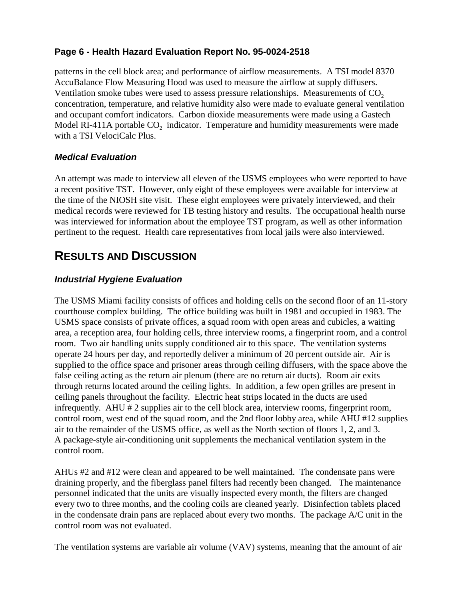## **Page 6 - Health Hazard Evaluation Report No. 95-0024-2518**

patterns in the cell block area; and performance of airflow measurements. A TSI model 8370 AccuBalance Flow Measuring Hood was used to measure the airflow at supply diffusers. Ventilation smoke tubes were used to assess pressure relationships. Measurements of  $CO<sub>2</sub>$ concentration, temperature, and relative humidity also were made to evaluate general ventilation and occupant comfort indicators. Carbon dioxide measurements were made using a Gastech Model RI-411A portable  $CO<sub>2</sub>$  indicator. Temperature and humidity measurements were made with a TSI VelociCalc Plus.

### *Medical Evaluation*

An attempt was made to interview all eleven of the USMS employees who were reported to have a recent positive TST. However, only eight of these employees were available for interview at the time of the NIOSH site visit. These eight employees were privately interviewed, and their medical records were reviewed for TB testing history and results. The occupational health nurse was interviewed for information about the employee TST program, as well as other information pertinent to the request. Health care representatives from local jails were also interviewed.

# **RESULTS AND DISCUSSION**

### *Industrial Hygiene Evaluation*

The USMS Miami facility consists of offices and holding cells on the second floor of an 11-story courthouse complex building. The office building was built in 1981 and occupied in 1983. The USMS space consists of private offices, a squad room with open areas and cubicles, a waiting area, a reception area, four holding cells, three interview rooms, a fingerprint room, and a control room. Two air handling units supply conditioned air to this space. The ventilation systems operate 24 hours per day, and reportedly deliver a minimum of 20 percent outside air. Air is supplied to the office space and prisoner areas through ceiling diffusers, with the space above the false ceiling acting as the return air plenum (there are no return air ducts). Room air exits through returns located around the ceiling lights. In addition, a few open grilles are present in ceiling panels throughout the facility. Electric heat strips located in the ducts are used infrequently. AHU # 2 supplies air to the cell block area, interview rooms, fingerprint room, control room, west end of the squad room, and the 2nd floor lobby area, while AHU #12 supplies air to the remainder of the USMS office, as well as the North section of floors 1, 2, and 3. A package-style air-conditioning unit supplements the mechanical ventilation system in the control room.

AHUs #2 and #12 were clean and appeared to be well maintained. The condensate pans were draining properly, and the fiberglass panel filters had recently been changed. The maintenance personnel indicated that the units are visually inspected every month, the filters are changed every two to three months, and the cooling coils are cleaned yearly. Disinfection tablets placed in the condensate drain pans are replaced about every two months. The package A/C unit in the control room was not evaluated.

The ventilation systems are variable air volume (VAV) systems, meaning that the amount of air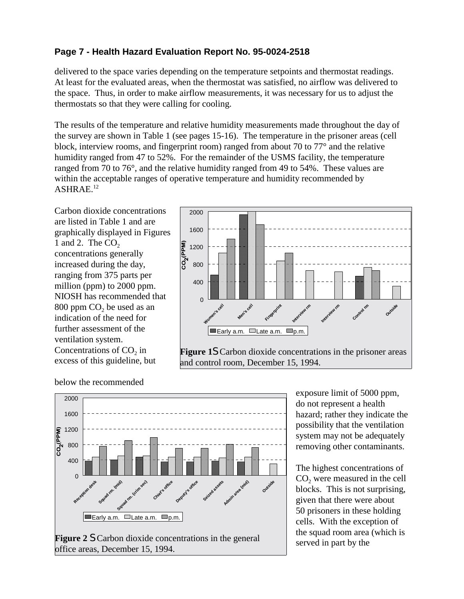## **Page 7 - Health Hazard Evaluation Report No. 95-0024-2518**

delivered to the space varies depending on the temperature setpoints and thermostat readings. At least for the evaluated areas, when the thermostat was satisfied, no airflow was delivered to the space. Thus, in order to make airflow measurements, it was necessary for us to adjust the thermostats so that they were calling for cooling.

The results of the temperature and relative humidity measurements made throughout the day of the survey are shown in Table 1 (see pages 15-16). The temperature in the prisoner areas (cell block, interview rooms, and fingerprint room) ranged from about 70 to 77° and the relative humidity ranged from 47 to 52%. For the remainder of the USMS facility, the temperature ranged from 70 to 76°, and the relative humidity ranged from 49 to 54%. These values are within the acceptable ranges of operative temperature and humidity recommended by ASHRAE.12

Carbon dioxide concentrations are listed in Table 1 and are graphically displayed in Figures 1 and 2. The  $CO<sub>2</sub>$ concentrations generally increased during the day, ranging from 375 parts per million (ppm) to 2000 ppm. NIOSH has recommended that  $800$  ppm  $CO<sub>2</sub>$  be used as an indication of the need for further assessment of the ventilation system. Concentrations of  $CO<sub>2</sub>$  in excess of this guideline, but



below the recommended



exposure limit of 5000 ppm, do not represent a health hazard; rather they indicate the possibility that the ventilation system may not be adequately removing other contaminants.

The highest concentrations of CO<sub>2</sub> were measured in the cell blocks. This is not surprising, given that there were about 50 prisoners in these holding cells. With the exception of the squad room area (which is served in part by the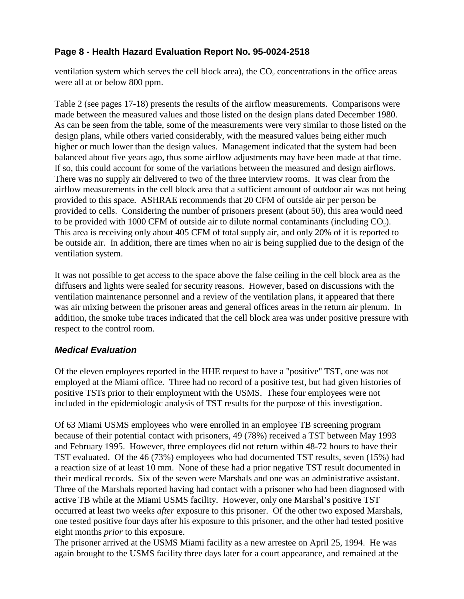## **Page 8 - Health Hazard Evaluation Report No. 95-0024-2518**

ventilation system which serves the cell block area), the  $CO<sub>2</sub>$  concentrations in the office areas were all at or below 800 ppm.

Table 2 (see pages 17-18) presents the results of the airflow measurements. Comparisons were made between the measured values and those listed on the design plans dated December 1980. As can be seen from the table, some of the measurements were very similar to those listed on the design plans, while others varied considerably, with the measured values being either much higher or much lower than the design values. Management indicated that the system had been balanced about five years ago, thus some airflow adjustments may have been made at that time. If so, this could account for some of the variations between the measured and design airflows. There was no supply air delivered to two of the three interview rooms. It was clear from the airflow measurements in the cell block area that a sufficient amount of outdoor air was not being provided to this space. ASHRAE recommends that 20 CFM of outside air per person be provided to cells. Considering the number of prisoners present (about 50), this area would need to be provided with 1000 CFM of outside air to dilute normal contaminants (including  $CO<sub>2</sub>$ ). This area is receiving only about 405 CFM of total supply air, and only 20% of it is reported to be outside air. In addition, there are times when no air is being supplied due to the design of the ventilation system.

It was not possible to get access to the space above the false ceiling in the cell block area as the diffusers and lights were sealed for security reasons. However, based on discussions with the ventilation maintenance personnel and a review of the ventilation plans, it appeared that there was air mixing between the prisoner areas and general offices areas in the return air plenum. In addition, the smoke tube traces indicated that the cell block area was under positive pressure with respect to the control room.

### *Medical Evaluation*

Of the eleven employees reported in the HHE request to have a "positive" TST, one was not employed at the Miami office. Three had no record of a positive test, but had given histories of positive TSTs prior to their employment with the USMS. These four employees were not included in the epidemiologic analysis of TST results for the purpose of this investigation.

Of 63 Miami USMS employees who were enrolled in an employee TB screening program because of their potential contact with prisoners, 49 (78%) received a TST between May 1993 and February 1995. However, three employees did not return within 48-72 hours to have their TST evaluated. Of the 46 (73%) employees who had documented TST results, seven (15%) had a reaction size of at least 10 mm. None of these had a prior negative TST result documented in their medical records. Six of the seven were Marshals and one was an administrative assistant. Three of the Marshals reported having had contact with a prisoner who had been diagnosed with active TB while at the Miami USMS facility. However, only one Marshal's positive TST occurred at least two weeks *after* exposure to this prisoner. Of the other two exposed Marshals, one tested positive four days after his exposure to this prisoner, and the other had tested positive eight months *prior* to this exposure.

The prisoner arrived at the USMS Miami facility as a new arrestee on April 25, 1994. He was again brought to the USMS facility three days later for a court appearance, and remained at the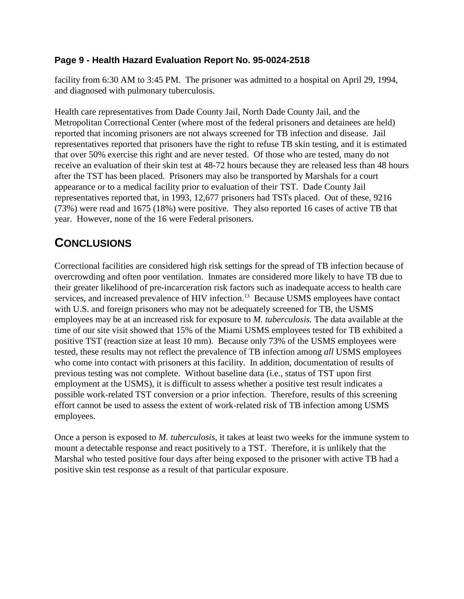#### **Page 9 - Health Hazard Evaluation Report No. 95-0024-2518**

facility from 6:30 AM to 3:45 PM. The prisoner was admitted to a hospital on April 29, 1994, and diagnosed with pulmonary tuberculosis.

Health care representatives from Dade County Jail, North Dade County Jail, and the Metropolitan Correctional Center (where most of the federal prisoners and detainees are held) reported that incoming prisoners are not always screened for TB infection and disease. Jail representatives reported that prisoners have the right to refuse TB skin testing, and it is estimated that over 50% exercise this right and are never tested. Of those who are tested, many do not receive an evaluation of their skin test at 48-72 hours because they are released less than 48 hours after the TST has been placed. Prisoners may also be transported by Marshals for a court appearance or to a medical facility prior to evaluation of their TST. Dade County Jail representatives reported that, in 1993, 12,677 prisoners had TSTs placed. Out of these, 9216 (73%) were read and 1675 (18%) were positive. They also reported 16 cases of active TB that year. However, none of the 16 were Federal prisoners.

# **CONCLUSIONS**

Correctional facilities are considered high risk settings for the spread of TB infection because of overcrowding and often poor ventilation. Inmates are considered more likely to have TB due to their greater likelihood of pre-incarceration risk factors such as inadequate access to health care services, and increased prevalence of HIV infection.<sup>13</sup> Because USMS employees have contact with U.S. and foreign prisoners who may not be adequately screened for TB, the USMS employees may be at an increased risk for exposure to *M. tuberculosis.* The data available at the time of our site visit showed that 15% of the Miami USMS employees tested for TB exhibited a positive TST (reaction size at least 10 mm). Because only 73% of the USMS employees were tested, these results may not reflect the prevalence of TB infection among *all* USMS employees who come into contact with prisoners at this facility. In addition, documentation of results of previous testing was not complete. Without baseline data (i.e., status of TST upon first employment at the USMS), it is difficult to assess whether a positive test result indicates a possible work-related TST conversion or a prior infection. Therefore, results of this screening effort cannot be used to assess the extent of work-related risk of TB infection among USMS employees.

Once a person is exposed to *M. tuberculosis*, it takes at least two weeks for the immune system to mount a detectable response and react positively to a TST. Therefore, it is unlikely that the Marshal who tested positive four days after being exposed to the prisoner with active TB had a positive skin test response as a result of that particular exposure.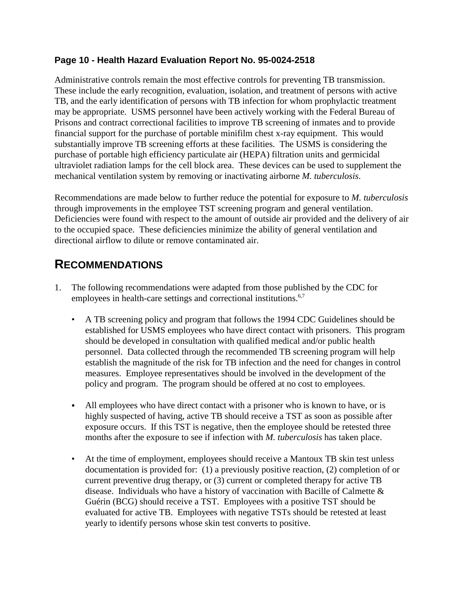#### **Page 10 - Health Hazard Evaluation Report No. 95-0024-2518**

Administrative controls remain the most effective controls for preventing TB transmission. These include the early recognition, evaluation, isolation, and treatment of persons with active TB, and the early identification of persons with TB infection for whom prophylactic treatment may be appropriate. USMS personnel have been actively working with the Federal Bureau of Prisons and contract correctional facilities to improve TB screening of inmates and to provide financial support for the purchase of portable minifilm chest x-ray equipment. This would substantially improve TB screening efforts at these facilities. The USMS is considering the purchase of portable high efficiency particulate air (HEPA) filtration units and germicidal ultraviolet radiation lamps for the cell block area. These devices can be used to supplement the mechanical ventilation system by removing or inactivating airborne *M. tuberculosis*.

Recommendations are made below to further reduce the potential for exposure to *M. tuberculosis* through improvements in the employee TST screening program and general ventilation. Deficiencies were found with respect to the amount of outside air provided and the delivery of air to the occupied space. These deficiencies minimize the ability of general ventilation and directional airflow to dilute or remove contaminated air.

## **RECOMMENDATIONS**

- 1. The following recommendations were adapted from those published by the CDC for employees in health-care settings and correctional institutions.<sup>6,7</sup>
	- A TB screening policy and program that follows the 1994 CDC Guidelines should be established for USMS employees who have direct contact with prisoners. This program should be developed in consultation with qualified medical and/or public health personnel. Data collected through the recommended TB screening program will help establish the magnitude of the risk for TB infection and the need for changes in control measures. Employee representatives should be involved in the development of the policy and program. The program should be offered at no cost to employees.
	- All employees who have direct contact with a prisoner who is known to have, or is highly suspected of having, active TB should receive a TST as soon as possible after exposure occurs. If this TST is negative, then the employee should be retested three months after the exposure to see if infection with *M. tuberculosis* has taken place.
	- At the time of employment, employees should receive a Mantoux TB skin test unless documentation is provided for: (1) a previously positive reaction, (2) completion of or current preventive drug therapy, or (3) current or completed therapy for active TB disease. Individuals who have a history of vaccination with Bacille of Calmette & Guérin (BCG) should receive a TST. Employees with a positive TST should be evaluated for active TB. Employees with negative TSTs should be retested at least yearly to identify persons whose skin test converts to positive.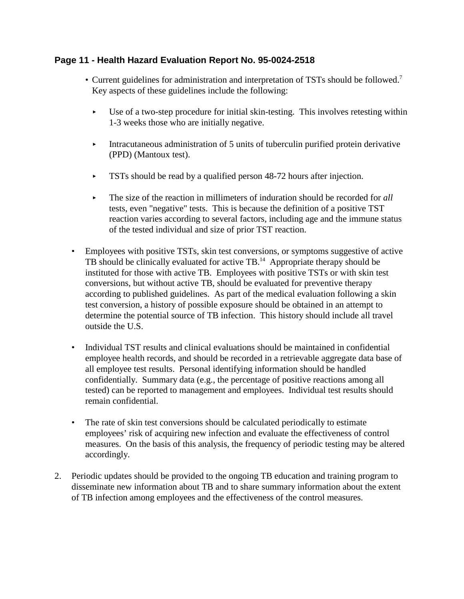#### **Page 11 - Health Hazard Evaluation Report No. 95-0024-2518**

- Current guidelines for administration and interpretation of TSTs should be followed.<sup>7</sup> Key aspects of these guidelines include the following:
	- $\triangleright$  Use of a two-step procedure for initial skin-testing. This involves retesting within 1-3 weeks those who are initially negative.
	- Intracutaneous administration of 5 units of tuberculin purified protein derivative (PPD) (Mantoux test).
	- **TSTs** should be read by a qualified person 48-72 hours after injection.
	- ► The size of the reaction in millimeters of induration should be recorded for *all* tests, even "negative" tests. This is because the definition of a positive TST reaction varies according to several factors, including age and the immune status of the tested individual and size of prior TST reaction.
- Employees with positive TSTs, skin test conversions, or symptoms suggestive of active TB should be clinically evaluated for active TB.14 Appropriate therapy should be instituted for those with active TB. Employees with positive TSTs or with skin test conversions, but without active TB, should be evaluated for preventive therapy according to published guidelines. As part of the medical evaluation following a skin test conversion, a history of possible exposure should be obtained in an attempt to determine the potential source of TB infection. This history should include all travel outside the U.S.
- Individual TST results and clinical evaluations should be maintained in confidential employee health records, and should be recorded in a retrievable aggregate data base of all employee test results. Personal identifying information should be handled confidentially. Summary data (e.g., the percentage of positive reactions among all tested) can be reported to management and employees. Individual test results should remain confidential.
- The rate of skin test conversions should be calculated periodically to estimate employees' risk of acquiring new infection and evaluate the effectiveness of control measures. On the basis of this analysis, the frequency of periodic testing may be altered accordingly.
- 2. Periodic updates should be provided to the ongoing TB education and training program to disseminate new information about TB and to share summary information about the extent of TB infection among employees and the effectiveness of the control measures.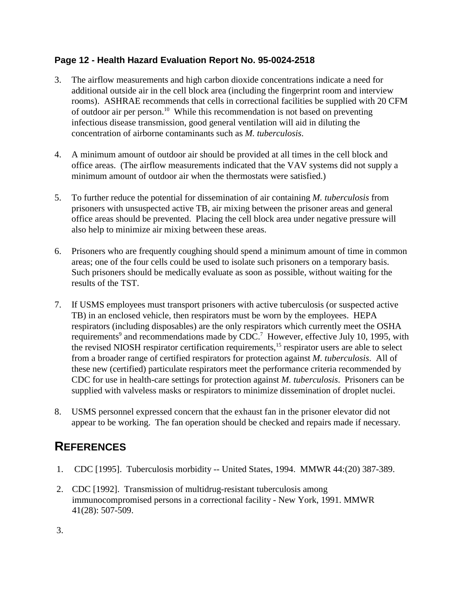### **Page 12 - Health Hazard Evaluation Report No. 95-0024-2518**

- 3. The airflow measurements and high carbon dioxide concentrations indicate a need for additional outside air in the cell block area (including the fingerprint room and interview rooms). ASHRAE recommends that cells in correctional facilities be supplied with 20 CFM of outdoor air per person.10 While this recommendation is not based on preventing infectious disease transmission, good general ventilation will aid in diluting the concentration of airborne contaminants such as *M. tuberculosis*.
- 4. A minimum amount of outdoor air should be provided at all times in the cell block and office areas. (The airflow measurements indicated that the VAV systems did not supply a minimum amount of outdoor air when the thermostats were satisfied.)
- 5. To further reduce the potential for dissemination of air containing *M. tuberculosis* from prisoners with unsuspected active TB, air mixing between the prisoner areas and general office areas should be prevented. Placing the cell block area under negative pressure will also help to minimize air mixing between these areas.
- 6. Prisoners who are frequently coughing should spend a minimum amount of time in common areas; one of the four cells could be used to isolate such prisoners on a temporary basis. Such prisoners should be medically evaluate as soon as possible, without waiting for the results of the TST.
- 7. If USMS employees must transport prisoners with active tuberculosis (or suspected active TB) in an enclosed vehicle, then respirators must be worn by the employees. HEPA respirators (including disposables) are the only respirators which currently meet the OSHA requirements<sup>9</sup> and recommendations made by CDC.<sup>7</sup> However, effective July 10, 1995, with the revised NIOSH respirator certification requirements,15 respirator users are able to select from a broader range of certified respirators for protection against *M. tuberculosis*. All of these new (certified) particulate respirators meet the performance criteria recommended by CDC for use in health-care settings for protection against *M. tuberculosis*. Prisoners can be supplied with valveless masks or respirators to minimize dissemination of droplet nuclei.
- 8. USMS personnel expressed concern that the exhaust fan in the prisoner elevator did not appear to be working. The fan operation should be checked and repairs made if necessary.

# **REFERENCES**

- 1. CDC [1995]. Tuberculosis morbidity -- United States, 1994. MMWR 44:(20) 387-389.
- 2. CDC [1992]. Transmission of multidrug-resistant tuberculosis among immunocompromised persons in a correctional facility - New York, 1991. MMWR 41(28): 507-509.

3.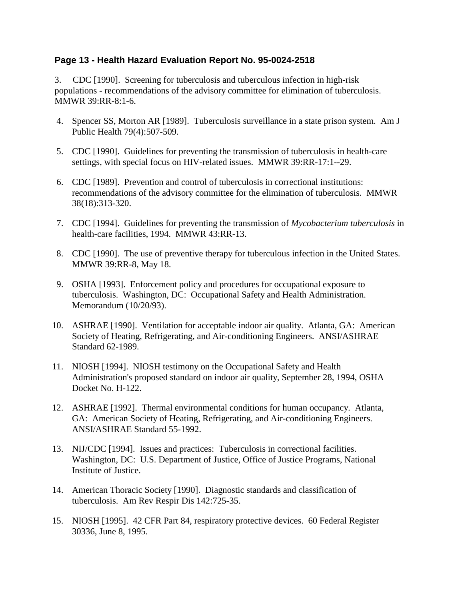#### **Page 13 - Health Hazard Evaluation Report No. 95-0024-2518**

3. CDC [1990]. Screening for tuberculosis and tuberculous infection in high-risk populations - recommendations of the advisory committee for elimination of tuberculosis. MMWR 39:RR-8:1-6.

- 4. Spencer SS, Morton AR [1989]. Tuberculosis surveillance in a state prison system. Am J Public Health 79(4):507-509.
- 5. CDC [1990]. Guidelines for preventing the transmission of tuberculosis in health-care settings, with special focus on HIV-related issues. MMWR 39:RR-17:1--29.
- 6. CDC [1989]. Prevention and control of tuberculosis in correctional institutions: recommendations of the advisory committee for the elimination of tuberculosis. MMWR 38(18):313-320.
- 7. CDC [1994]. Guidelines for preventing the transmission of *Mycobacterium tuberculosis* in health-care facilities, 1994. MMWR 43:RR-13.
- 8. CDC [1990]. The use of preventive therapy for tuberculous infection in the United States. MMWR 39:RR-8, May 18.
- 9. OSHA [1993]. Enforcement policy and procedures for occupational exposure to tuberculosis. Washington, DC: Occupational Safety and Health Administration. Memorandum (10/20/93).
- 10. ASHRAE [1990]. Ventilation for acceptable indoor air quality. Atlanta, GA: American Society of Heating, Refrigerating, and Air-conditioning Engineers. ANSI/ASHRAE Standard 62-1989.
- 11. NIOSH [1994]. NIOSH testimony on the Occupational Safety and Health Administration's proposed standard on indoor air quality, September 28, 1994, OSHA Docket No. H-122.
- 12. ASHRAE [1992]. Thermal environmental conditions for human occupancy. Atlanta, GA: American Society of Heating, Refrigerating, and Air-conditioning Engineers. ANSI/ASHRAE Standard 55-1992.
- 13. NIJ/CDC [1994]. Issues and practices: Tuberculosis in correctional facilities. Washington, DC: U.S. Department of Justice, Office of Justice Programs, National Institute of Justice.
- 14. American Thoracic Society [1990]. Diagnostic standards and classification of tuberculosis. Am Rev Respir Dis 142:725-35.
- 15. NIOSH [1995]. 42 CFR Part 84, respiratory protective devices. 60 Federal Register 30336, June 8, 1995.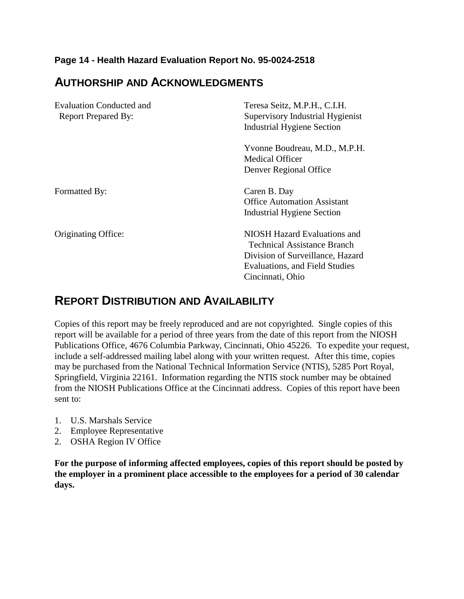#### **Page 14 - Health Hazard Evaluation Report No. 95-0024-2518**

## **AUTHORSHIP AND ACKNOWLEDGMENTS**

| Evaluation Conducted and   | Teresa Seitz, M.P.H., C.I.H.       |  |  |  |
|----------------------------|------------------------------------|--|--|--|
| <b>Report Prepared By:</b> | Supervisory Industrial Hygienist   |  |  |  |
|                            | <b>Industrial Hygiene Section</b>  |  |  |  |
|                            | Yvonne Boudreau, M.D., M.P.H.      |  |  |  |
|                            | <b>Medical Officer</b>             |  |  |  |
|                            | Denver Regional Office             |  |  |  |
| Formatted By:              | Caren B. Day                       |  |  |  |
|                            | <b>Office Automation Assistant</b> |  |  |  |
|                            | Industrial Hygiene Section         |  |  |  |
| Originating Office:        | NIOSH Hazard Evaluations and       |  |  |  |
|                            | <b>Technical Assistance Branch</b> |  |  |  |
|                            | Division of Surveillance, Hazard   |  |  |  |
|                            | Evaluations, and Field Studies     |  |  |  |
|                            | Cincinnati, Ohio                   |  |  |  |

## **REPORT DISTRIBUTION AND AVAILABILITY**

Copies of this report may be freely reproduced and are not copyrighted. Single copies of this report will be available for a period of three years from the date of this report from the NIOSH Publications Office, 4676 Columbia Parkway, Cincinnati, Ohio 45226. To expedite your request, include a self-addressed mailing label along with your written request. After this time, copies may be purchased from the National Technical Information Service (NTIS), 5285 Port Royal, Springfield, Virginia 22161. Information regarding the NTIS stock number may be obtained from the NIOSH Publications Office at the Cincinnati address. Copies of this report have been sent to:

- 1. U.S. Marshals Service
- 2. Employee Representative
- 2. OSHA Region IV Office

**For the purpose of informing affected employees, copies of this report should be posted by the employer in a prominent place accessible to the employees for a period of 30 calendar days.**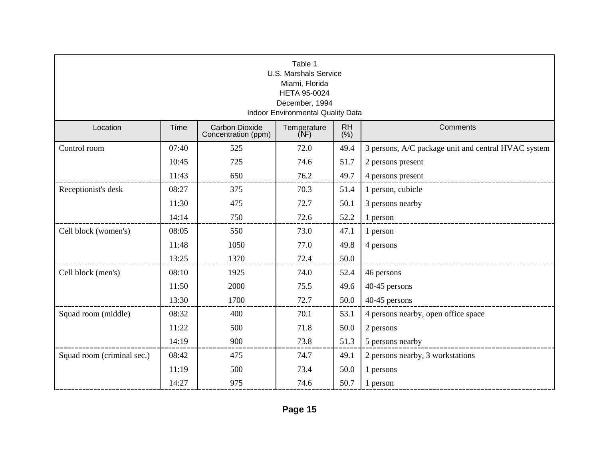| Table 1<br><b>U.S. Marshals Service</b><br>Miami, Florida<br>HETA 95-0024<br>December, 1994<br>Indoor Environmental Quality Data |       |                                              |                     |                   |                                                     |  |  |
|----------------------------------------------------------------------------------------------------------------------------------|-------|----------------------------------------------|---------------------|-------------------|-----------------------------------------------------|--|--|
| Location                                                                                                                         | Time  | <b>Carbon Dioxide</b><br>Concentration (ppm) | Temperature<br>(NF) | <b>RH</b><br>(% ) | Comments                                            |  |  |
| Control room                                                                                                                     | 07:40 | 525                                          | 72.0                | 49.4              | 3 persons, A/C package unit and central HVAC system |  |  |
|                                                                                                                                  | 10:45 | 725                                          | 74.6                | 51.7              | 2 persons present                                   |  |  |
|                                                                                                                                  | 11:43 | 650                                          | 76.2                | 49.7              | 4 persons present                                   |  |  |
| Receptionist's desk                                                                                                              | 08:27 | 375                                          | 70.3                | 51.4              | 1 person, cubicle                                   |  |  |
|                                                                                                                                  | 11:30 | 475                                          | 72.7                | 50.1              | 3 persons nearby                                    |  |  |
|                                                                                                                                  | 14:14 | 750                                          | 72.6                | 52.2              | 1 person                                            |  |  |
| Cell block (women's)                                                                                                             | 08:05 | 550                                          | 73.0                | 47.1              | 1 person                                            |  |  |
|                                                                                                                                  | 11:48 | 1050                                         | 77.0                | 49.8              | 4 persons                                           |  |  |
|                                                                                                                                  | 13:25 | 1370                                         | 72.4                | 50.0              |                                                     |  |  |
| Cell block (men's)                                                                                                               | 08:10 | 1925                                         | 74.0                | 52.4              | 46 persons                                          |  |  |
|                                                                                                                                  | 11:50 | 2000                                         | 75.5                | 49.6              | 40-45 persons                                       |  |  |
|                                                                                                                                  | 13:30 | 1700                                         | 72.7                | 50.0              | 40-45 persons                                       |  |  |
| Squad room (middle)                                                                                                              | 08:32 | 400                                          | 70.1                | 53.1              | 4 persons nearby, open office space                 |  |  |
|                                                                                                                                  | 11:22 | 500                                          | 71.8                | 50.0              | 2 persons                                           |  |  |
|                                                                                                                                  | 14:19 | 900                                          | 73.8                | 51.3              | 5 persons nearby                                    |  |  |
| Squad room (criminal sec.)                                                                                                       | 08:42 | 475                                          | 74.7                | 49.1              | 2 persons nearby, 3 workstations                    |  |  |
|                                                                                                                                  | 11:19 | 500                                          | 73.4                | 50.0              | 1 persons                                           |  |  |
|                                                                                                                                  | 14:27 | 975                                          | 74.6                | 50.7              | 1 person                                            |  |  |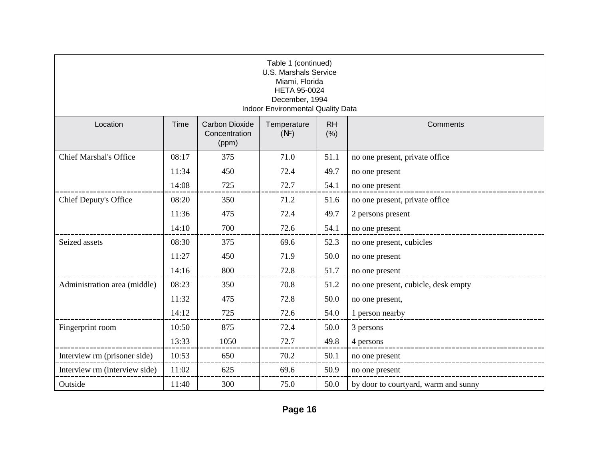| Table 1 (continued)<br><b>U.S. Marshals Service</b><br>Miami, Florida<br><b>HETA 95-0024</b><br>December, 1994<br><b>Indoor Environmental Quality Data</b> |       |                                                 |                     |                   |                                             |  |  |
|------------------------------------------------------------------------------------------------------------------------------------------------------------|-------|-------------------------------------------------|---------------------|-------------------|---------------------------------------------|--|--|
| Location                                                                                                                                                   | Time  | <b>Carbon Dioxide</b><br>Concentration<br>(ppm) | Temperature<br>(NF) | <b>RH</b><br>(% ) | Comments                                    |  |  |
| <b>Chief Marshal's Office</b>                                                                                                                              | 08:17 | 375                                             | 71.0                | 51.1              | no one present, private office              |  |  |
|                                                                                                                                                            | 11:34 | 450                                             | 72.4                | 49.7              | no one present                              |  |  |
|                                                                                                                                                            | 14:08 | 725                                             | 72.7                | 54.1              | no one present                              |  |  |
| Chief Deputy's Office                                                                                                                                      | 08:20 | 350                                             | 71.2                | 51.6              | no one present, private office              |  |  |
|                                                                                                                                                            | 11:36 | 475                                             | 72.4                | 49.7              | 2 persons present                           |  |  |
|                                                                                                                                                            | 14:10 | 700                                             | 72.6                | 54.1              | no one present                              |  |  |
| Seized assets                                                                                                                                              | 08:30 | 375                                             | 69.6                | 52.3              | no one present, cubicles                    |  |  |
|                                                                                                                                                            | 11:27 | 450                                             | 71.9                | 50.0              | no one present                              |  |  |
|                                                                                                                                                            | 14:16 | 800                                             | 72.8                | 51.7              | no one present                              |  |  |
| Administration area (middle)                                                                                                                               | 08:23 | 350                                             | 70.8                | 51.2              | no one present, cubicle, desk empty         |  |  |
|                                                                                                                                                            | 11:32 | 475                                             | 72.8                | 50.0              | no one present,                             |  |  |
|                                                                                                                                                            | 14:12 | 725                                             | 72.6                | 54.0              | 1 person nearby<br>______________________   |  |  |
| Fingerprint room                                                                                                                                           | 10:50 | 875                                             | 72.4                | 50.0              | 3 persons                                   |  |  |
|                                                                                                                                                            | 13:33 | 1050                                            | 72.7                | 49.8              | 4 persons<br>--------------------------     |  |  |
| Interview rm (prisoner side)                                                                                                                               | 10:53 | 650                                             | 70.2                | 50.1              | no one present<br>_________________________ |  |  |
| Interview rm (interview side)                                                                                                                              | 11:02 | 625                                             | 69.6                | 50.9              | no one present                              |  |  |
| Outside                                                                                                                                                    | 11:40 | 300                                             | 75.0                | 50.0              | by door to courtyard, warm and sunny        |  |  |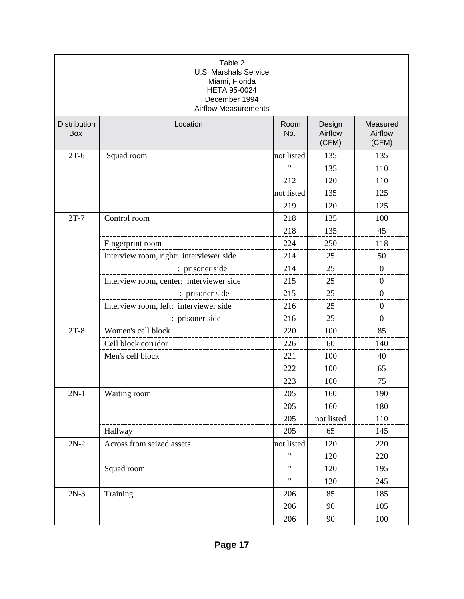| Table 2<br><b>U.S. Marshals Service</b><br>Miami, Florida<br><b>HETA 95-0024</b><br>December 1994<br><b>Airflow Measurements</b> |                                          |                    |                            |                              |  |  |
|----------------------------------------------------------------------------------------------------------------------------------|------------------------------------------|--------------------|----------------------------|------------------------------|--|--|
| <b>Distribution</b><br>Box                                                                                                       | Location                                 | Room<br>No.        | Design<br>Airflow<br>(CFM) | Measured<br>Airflow<br>(CFM) |  |  |
| $2T-6$                                                                                                                           | Squad room                               | not listed         | 135                        | 135                          |  |  |
|                                                                                                                                  |                                          | $^{\prime}$        | 135                        | 110                          |  |  |
|                                                                                                                                  |                                          | 212                | 120                        | 110                          |  |  |
|                                                                                                                                  |                                          | not listed         | 135                        | 125                          |  |  |
|                                                                                                                                  |                                          | 219                | 120                        | 125                          |  |  |
| $2T-7$                                                                                                                           | Control room                             | 218                | 135                        | 100                          |  |  |
|                                                                                                                                  | ----------------------                   | 218                | 135                        | 45                           |  |  |
|                                                                                                                                  | Fingerprint room                         | 224                | 250                        | 118                          |  |  |
|                                                                                                                                  | Interview room, right: interviewer side  | 214                | 25                         | 50                           |  |  |
|                                                                                                                                  | : prisoner side                          | 214                | 25                         | $\boldsymbol{0}$             |  |  |
|                                                                                                                                  | Interview room, center: interviewer side | 215                | 25                         | $\overline{0}$               |  |  |
|                                                                                                                                  | : prisoner side                          | 215                | 25                         | $\boldsymbol{0}$             |  |  |
|                                                                                                                                  | Interview room, left: interviewer side   | 216                | 25                         | $\overline{0}$               |  |  |
|                                                                                                                                  | : prisoner side                          | 216                | 25                         | $\overline{0}$               |  |  |
| $2T-8$                                                                                                                           | Women's cell block                       | 220                | 100                        | 85                           |  |  |
|                                                                                                                                  | Cell block corridor                      | 226                | 60                         | 140                          |  |  |
|                                                                                                                                  | Men's cell block                         | 221                | 100                        | 40                           |  |  |
|                                                                                                                                  |                                          | 222                | 100                        | 65                           |  |  |
|                                                                                                                                  |                                          | 223                | 100                        | 75                           |  |  |
| $2N-1$                                                                                                                           | Waiting room                             | 205                | 160                        | 190                          |  |  |
|                                                                                                                                  |                                          | 205                | 160                        | 180                          |  |  |
|                                                                                                                                  |                                          | 205                | not listed                 | 110                          |  |  |
|                                                                                                                                  | Hallway                                  | 205                | 65                         | 145                          |  |  |
| $2N-2$                                                                                                                           | Across from seized assets                | not listed         | 120                        | 220                          |  |  |
|                                                                                                                                  |                                          | $\pmb{\mathsf{H}}$ | 120                        | 220                          |  |  |
|                                                                                                                                  | Squad room                               | $\pmb{\mathsf{H}}$ | 120                        | 195                          |  |  |
|                                                                                                                                  |                                          | 11                 | 120                        | 245                          |  |  |
| $2N-3$                                                                                                                           | Training                                 | 206                | 85                         | 185                          |  |  |
|                                                                                                                                  |                                          | 206                | 90                         | 105                          |  |  |
|                                                                                                                                  |                                          | 206                | 90                         | 100                          |  |  |